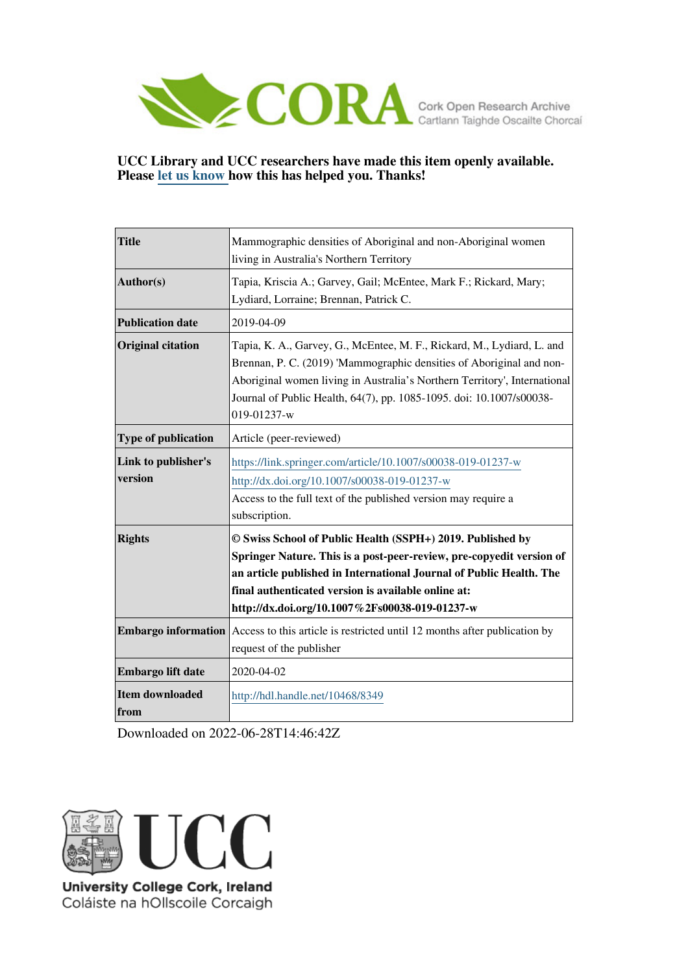

# **UCC Library and UCC researchers have made this item openly available. Please [let us know h](https://libguides.ucc.ie/openaccess/impact?suffix=8349&title=Mammographic densities of Aboriginal and non-Aboriginal women living in Australia)ow this has helped you. Thanks!**

| <b>Title</b>                   | Mammographic densities of Aboriginal and non-Aboriginal women<br>living in Australia's Northern Territory                                                                                                                                                                                                          |
|--------------------------------|--------------------------------------------------------------------------------------------------------------------------------------------------------------------------------------------------------------------------------------------------------------------------------------------------------------------|
| Author(s)                      | Tapia, Kriscia A.; Garvey, Gail; McEntee, Mark F.; Rickard, Mary;<br>Lydiard, Lorraine; Brennan, Patrick C.                                                                                                                                                                                                        |
| <b>Publication date</b>        | 2019-04-09                                                                                                                                                                                                                                                                                                         |
| <b>Original citation</b>       | Tapia, K. A., Garvey, G., McEntee, M. F., Rickard, M., Lydiard, L. and<br>Brennan, P. C. (2019) 'Mammographic densities of Aboriginal and non-<br>Aboriginal women living in Australia's Northern Territory', International<br>Journal of Public Health, 64(7), pp. 1085-1095. doi: 10.1007/s00038-<br>019-01237-w |
| <b>Type of publication</b>     | Article (peer-reviewed)                                                                                                                                                                                                                                                                                            |
| Link to publisher's<br>version | https://link.springer.com/article/10.1007/s00038-019-01237-w<br>http://dx.doi.org/10.1007/s00038-019-01237-w<br>Access to the full text of the published version may require a<br>subscription.                                                                                                                    |
| <b>Rights</b>                  | © Swiss School of Public Health (SSPH+) 2019. Published by<br>Springer Nature. This is a post-peer-review, pre-copyedit version of<br>an article published in International Journal of Public Health. The<br>final authenticated version is available online at:<br>http://dx.doi.org/10.1007%2Fs00038-019-01237-w |
| <b>Embargo information</b>     | Access to this article is restricted until 12 months after publication by<br>request of the publisher                                                                                                                                                                                                              |
| Embargo lift date              | 2020-04-02                                                                                                                                                                                                                                                                                                         |
| <b>Item downloaded</b><br>from | http://hdl.handle.net/10468/8349                                                                                                                                                                                                                                                                                   |

Downloaded on 2022-06-28T14:46:42Z



Coláiste na hOllscoile Corcaigh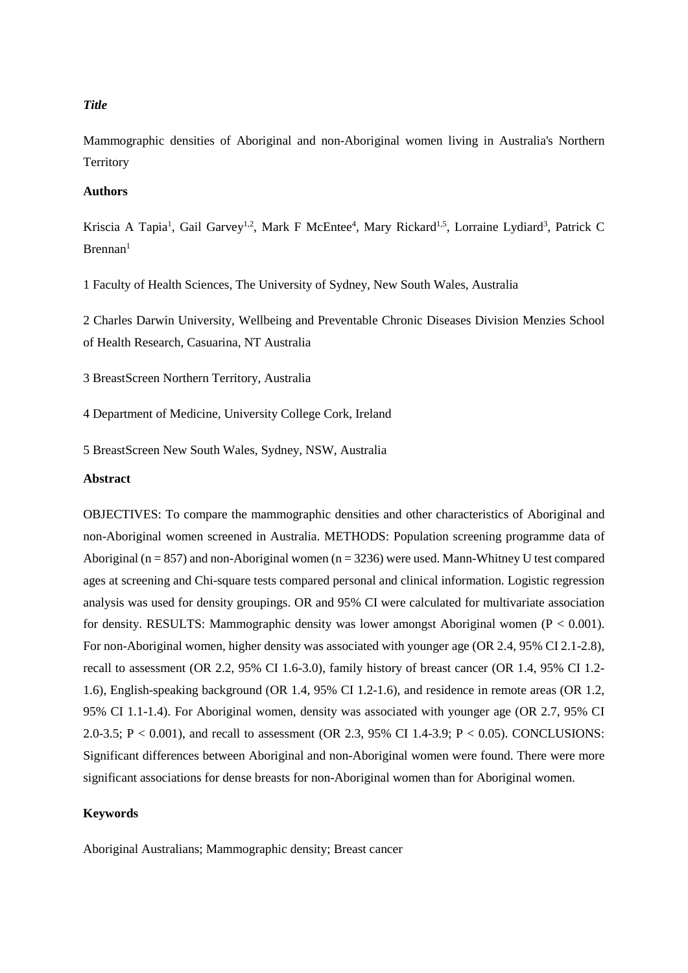## *Title*

Mammographic densities of Aboriginal and non-Aboriginal women living in Australia's Northern **Territory** 

### **Authors**

Kriscia A Tapia<sup>1</sup>, Gail Garvey<sup>1,2</sup>, Mark F McEntee<sup>4</sup>, Mary Rickard<sup>1,5</sup>, Lorraine Lydiard<sup>3</sup>, Patrick C  $Brennan<sup>1</sup>$ 

1 Faculty of Health Sciences, The University of Sydney, New South Wales, Australia

2 Charles Darwin University, Wellbeing and Preventable Chronic Diseases Division Menzies School of Health Research, Casuarina, NT Australia

3 BreastScreen Northern Territory, Australia

4 Department of Medicine, University College Cork, Ireland

5 BreastScreen New South Wales, Sydney, NSW, Australia

## **Abstract**

OBJECTIVES: To compare the mammographic densities and other characteristics of Aboriginal and non-Aboriginal women screened in Australia. METHODS: Population screening programme data of Aboriginal ( $n = 857$ ) and non-Aboriginal women ( $n = 3236$ ) were used. Mann-Whitney U test compared ages at screening and Chi-square tests compared personal and clinical information. Logistic regression analysis was used for density groupings. OR and 95% CI were calculated for multivariate association for density. RESULTS: Mammographic density was lower amongst Aboriginal women  $(P < 0.001)$ . For non-Aboriginal women, higher density was associated with younger age (OR 2.4, 95% CI 2.1-2.8), recall to assessment (OR 2.2, 95% CI 1.6-3.0), family history of breast cancer (OR 1.4, 95% CI 1.2- 1.6), English-speaking background (OR 1.4, 95% CI 1.2-1.6), and residence in remote areas (OR 1.2, 95% CI 1.1-1.4). For Aboriginal women, density was associated with younger age (OR 2.7, 95% CI 2.0-3.5; P < 0.001), and recall to assessment (OR 2.3, 95% CI 1.4-3.9; P < 0.05). CONCLUSIONS: Significant differences between Aboriginal and non-Aboriginal women were found. There were more significant associations for dense breasts for non-Aboriginal women than for Aboriginal women.

### **Keywords**

Aboriginal Australians; Mammographic density; Breast cancer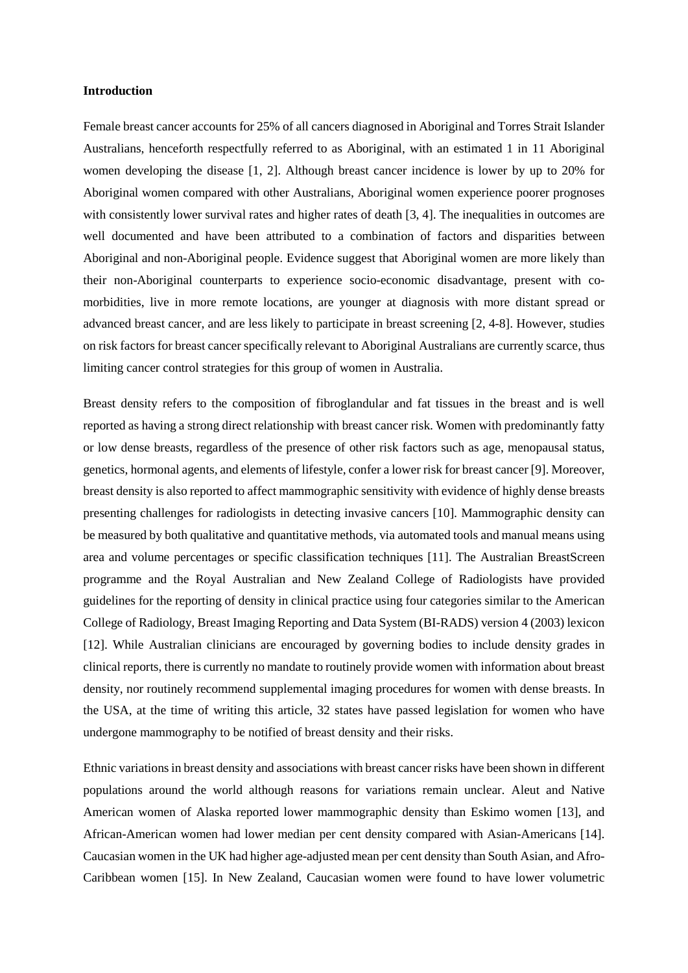### **Introduction**

Female breast cancer accounts for 25% of all cancers diagnosed in Aboriginal and Torres Strait Islander Australians, henceforth respectfully referred to as Aboriginal, with an estimated 1 in 11 Aboriginal women developing the disease [1, 2]. Although breast cancer incidence is lower by up to 20% for Aboriginal women compared with other Australians, Aboriginal women experience poorer prognoses with consistently lower survival rates and higher rates of death [3, 4]. The inequalities in outcomes are well documented and have been attributed to a combination of factors and disparities between Aboriginal and non-Aboriginal people. Evidence suggest that Aboriginal women are more likely than their non-Aboriginal counterparts to experience socio-economic disadvantage, present with comorbidities, live in more remote locations, are younger at diagnosis with more distant spread or advanced breast cancer, and are less likely to participate in breast screening [2, 4-8]. However, studies on risk factors for breast cancer specifically relevant to Aboriginal Australians are currently scarce, thus limiting cancer control strategies for this group of women in Australia.

Breast density refers to the composition of fibroglandular and fat tissues in the breast and is well reported as having a strong direct relationship with breast cancer risk. Women with predominantly fatty or low dense breasts, regardless of the presence of other risk factors such as age, menopausal status, genetics, hormonal agents, and elements of lifestyle, confer a lower risk for breast cancer [9]. Moreover, breast density is also reported to affect mammographic sensitivity with evidence of highly dense breasts presenting challenges for radiologists in detecting invasive cancers [10]. Mammographic density can be measured by both qualitative and quantitative methods, via automated tools and manual means using area and volume percentages or specific classification techniques [11]. The Australian BreastScreen programme and the Royal Australian and New Zealand College of Radiologists have provided guidelines for the reporting of density in clinical practice using four categories similar to the American College of Radiology, Breast Imaging Reporting and Data System (BI-RADS) version 4 (2003) lexicon [12]. While Australian clinicians are encouraged by governing bodies to include density grades in clinical reports, there is currently no mandate to routinely provide women with information about breast density, nor routinely recommend supplemental imaging procedures for women with dense breasts. In the USA, at the time of writing this article, 32 states have passed legislation for women who have undergone mammography to be notified of breast density and their risks.

Ethnic variations in breast density and associations with breast cancer risks have been shown in different populations around the world although reasons for variations remain unclear. Aleut and Native American women of Alaska reported lower mammographic density than Eskimo women [13], and African-American women had lower median per cent density compared with Asian-Americans [14]. Caucasian women in the UK had higher age-adjusted mean per cent density than South Asian, and Afro-Caribbean women [15]. In New Zealand, Caucasian women were found to have lower volumetric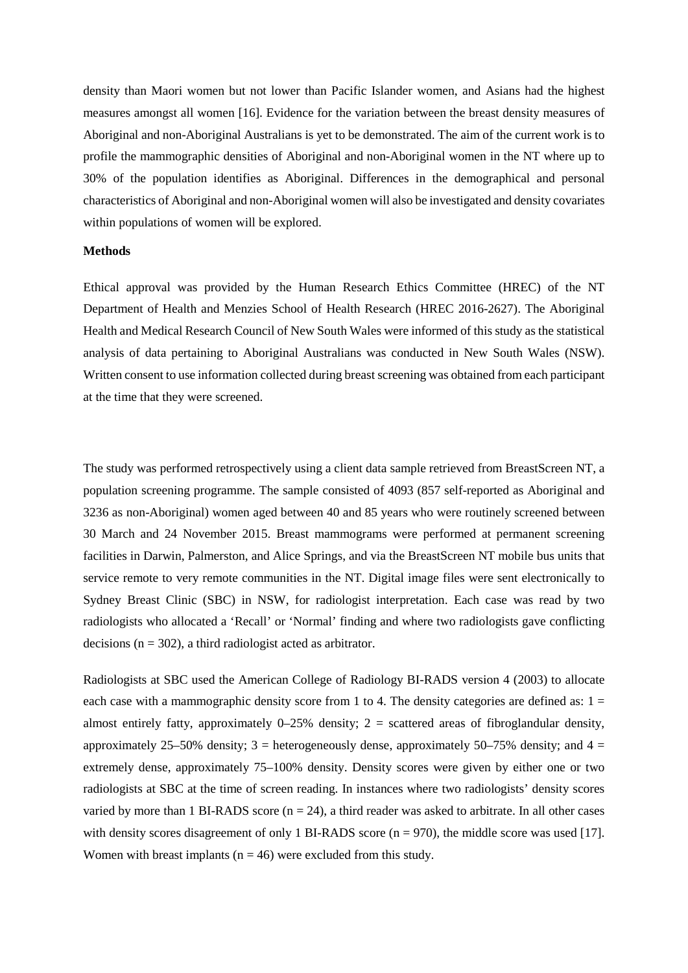density than Maori women but not lower than Pacific Islander women, and Asians had the highest measures amongst all women [16]. Evidence for the variation between the breast density measures of Aboriginal and non-Aboriginal Australians is yet to be demonstrated. The aim of the current work is to profile the mammographic densities of Aboriginal and non-Aboriginal women in the NT where up to 30% of the population identifies as Aboriginal. Differences in the demographical and personal characteristics of Aboriginal and non-Aboriginal women will also be investigated and density covariates within populations of women will be explored.

## **Methods**

Ethical approval was provided by the Human Research Ethics Committee (HREC) of the NT Department of Health and Menzies School of Health Research (HREC 2016-2627). The Aboriginal Health and Medical Research Council of New South Wales were informed of this study as the statistical analysis of data pertaining to Aboriginal Australians was conducted in New South Wales (NSW). Written consent to use information collected during breast screening was obtained from each participant at the time that they were screened.

The study was performed retrospectively using a client data sample retrieved from BreastScreen NT, a population screening programme. The sample consisted of 4093 (857 self-reported as Aboriginal and 3236 as non-Aboriginal) women aged between 40 and 85 years who were routinely screened between 30 March and 24 November 2015. Breast mammograms were performed at permanent screening facilities in Darwin, Palmerston, and Alice Springs, and via the BreastScreen NT mobile bus units that service remote to very remote communities in the NT. Digital image files were sent electronically to Sydney Breast Clinic (SBC) in NSW, for radiologist interpretation. Each case was read by two radiologists who allocated a 'Recall' or 'Normal' finding and where two radiologists gave conflicting decisions ( $n = 302$ ), a third radiologist acted as arbitrator.

Radiologists at SBC used the American College of Radiology BI-RADS version 4 (2003) to allocate each case with a mammographic density score from 1 to 4. The density categories are defined as:  $1 =$ almost entirely fatty, approximately  $0-25%$  density;  $2 =$  scattered areas of fibroglandular density, approximately 25–50% density; 3 = heterogeneously dense, approximately 50–75% density; and 4 = extremely dense, approximately 75–100% density. Density scores were given by either one or two radiologists at SBC at the time of screen reading. In instances where two radiologists' density scores varied by more than 1 BI-RADS score  $(n = 24)$ , a third reader was asked to arbitrate. In all other cases with density scores disagreement of only 1 BI-RADS score ( $n = 970$ ), the middle score was used [17]. Women with breast implants ( $n = 46$ ) were excluded from this study.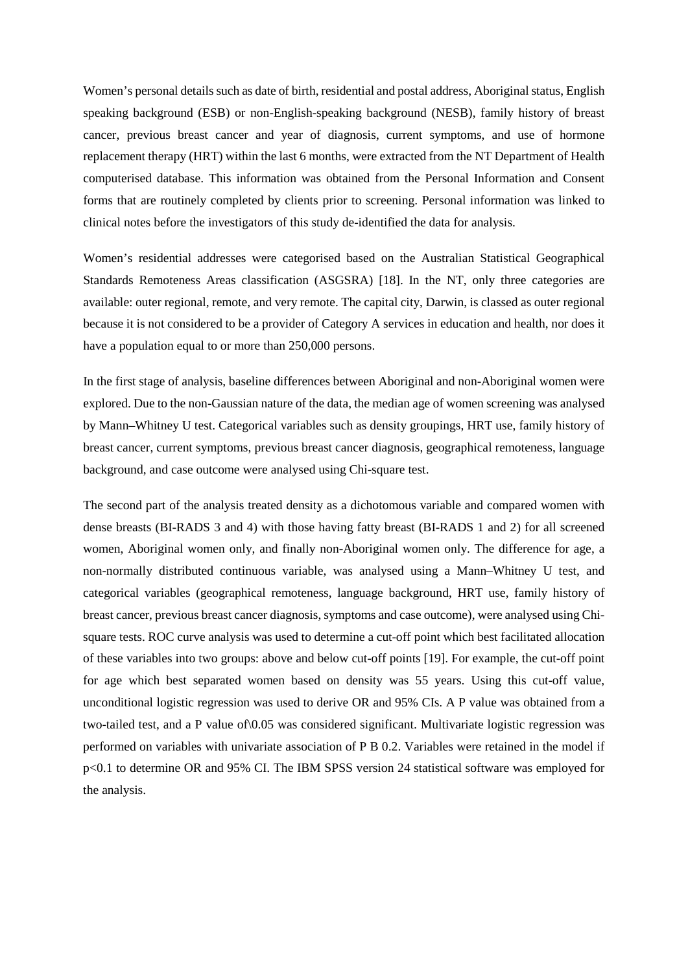Women's personal details such as date of birth, residential and postal address, Aboriginal status, English speaking background (ESB) or non-English-speaking background (NESB), family history of breast cancer, previous breast cancer and year of diagnosis, current symptoms, and use of hormone replacement therapy (HRT) within the last 6 months, were extracted from the NT Department of Health computerised database. This information was obtained from the Personal Information and Consent forms that are routinely completed by clients prior to screening. Personal information was linked to clinical notes before the investigators of this study de-identified the data for analysis.

Women's residential addresses were categorised based on the Australian Statistical Geographical Standards Remoteness Areas classification (ASGSRA) [18]. In the NT, only three categories are available: outer regional, remote, and very remote. The capital city, Darwin, is classed as outer regional because it is not considered to be a provider of Category A services in education and health, nor does it have a population equal to or more than 250,000 persons.

In the first stage of analysis, baseline differences between Aboriginal and non-Aboriginal women were explored. Due to the non-Gaussian nature of the data, the median age of women screening was analysed by Mann–Whitney U test. Categorical variables such as density groupings, HRT use, family history of breast cancer, current symptoms, previous breast cancer diagnosis, geographical remoteness, language background, and case outcome were analysed using Chi-square test.

The second part of the analysis treated density as a dichotomous variable and compared women with dense breasts (BI-RADS 3 and 4) with those having fatty breast (BI-RADS 1 and 2) for all screened women, Aboriginal women only, and finally non-Aboriginal women only. The difference for age, a non-normally distributed continuous variable, was analysed using a Mann–Whitney U test, and categorical variables (geographical remoteness, language background, HRT use, family history of breast cancer, previous breast cancer diagnosis, symptoms and case outcome), were analysed using Chisquare tests. ROC curve analysis was used to determine a cut-off point which best facilitated allocation of these variables into two groups: above and below cut-off points [19]. For example, the cut-off point for age which best separated women based on density was 55 years. Using this cut-off value, unconditional logistic regression was used to derive OR and 95% CIs. A P value was obtained from a two-tailed test, and a P value of\0.05 was considered significant. Multivariate logistic regression was performed on variables with univariate association of P B 0.2. Variables were retained in the model if p<0.1 to determine OR and 95% CI. The IBM SPSS version 24 statistical software was employed for the analysis.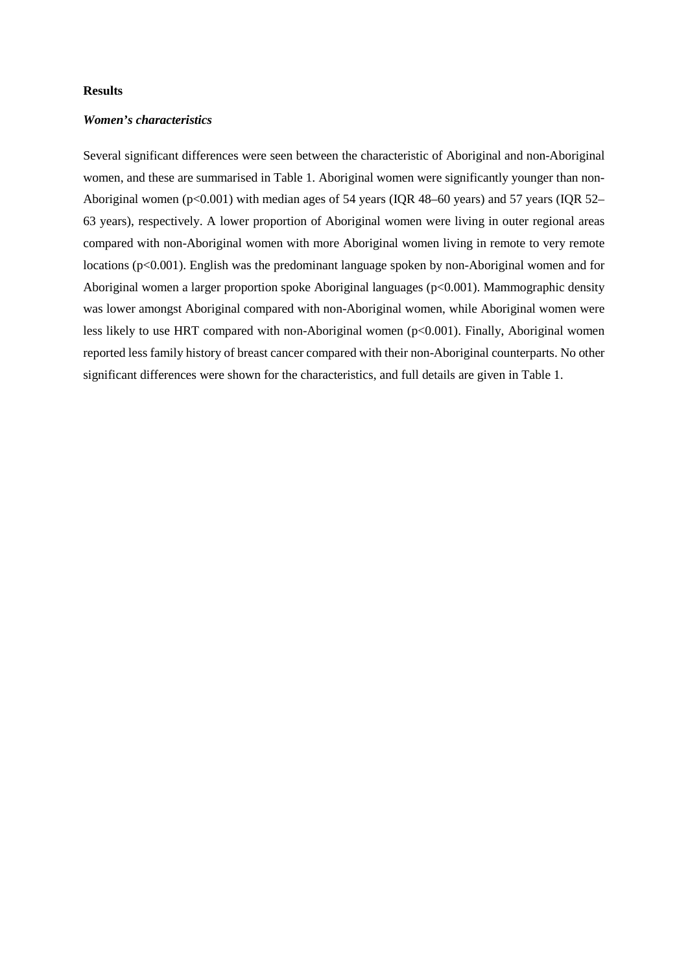#### **Results**

### *Women's characteristics*

Several significant differences were seen between the characteristic of Aboriginal and non-Aboriginal women, and these are summarised in Table 1. Aboriginal women were significantly younger than non-Aboriginal women (p<0.001) with median ages of 54 years (IQR 48–60 years) and 57 years (IQR 52– 63 years), respectively. A lower proportion of Aboriginal women were living in outer regional areas compared with non-Aboriginal women with more Aboriginal women living in remote to very remote locations (p<0.001). English was the predominant language spoken by non-Aboriginal women and for Aboriginal women a larger proportion spoke Aboriginal languages (p<0.001). Mammographic density was lower amongst Aboriginal compared with non-Aboriginal women, while Aboriginal women were less likely to use HRT compared with non-Aboriginal women (p<0.001). Finally, Aboriginal women reported less family history of breast cancer compared with their non-Aboriginal counterparts. No other significant differences were shown for the characteristics, and full details are given in Table 1.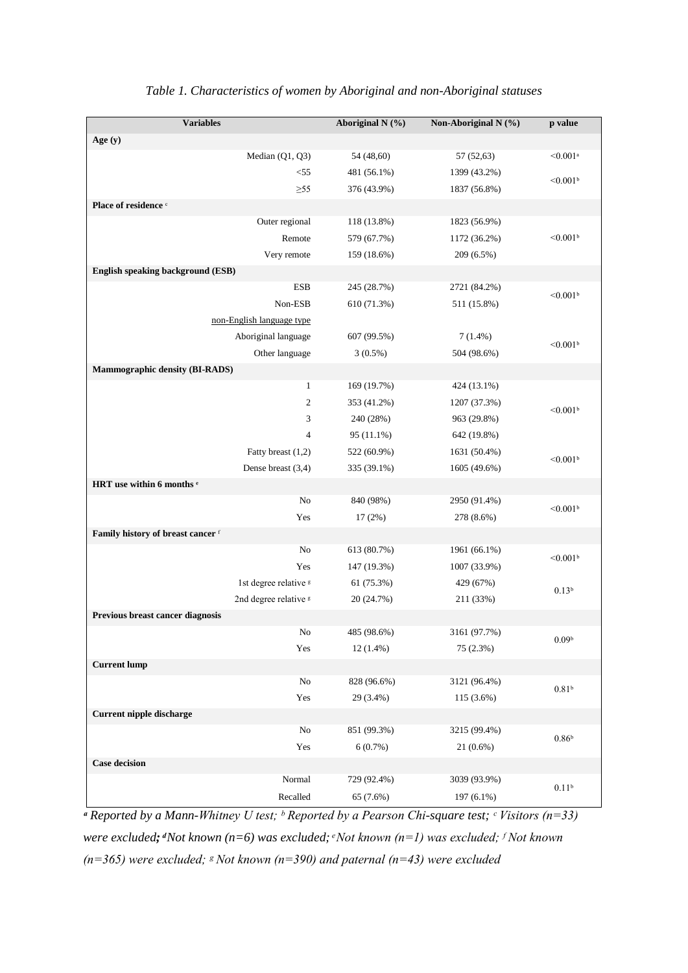| Age $(y)$<br>< 0.001a<br>Median (Q1, Q3)<br>54 (48,60)<br>57 (52,63)<br>481 (56.1%)<br>$<$ 55<br>1399 (43.2%)<br>$< 0.001$ <sup>b</sup><br>$\geq 55$<br>376 (43.9%)<br>1837 (56.8%)<br>Place of residence c<br>Outer regional<br>118 (13.8%)<br>1823 (56.9%)<br>Remote<br>579 (67.7%)<br>$< 0.001$ <sup>b</sup><br>1172 (36.2%)<br>Very remote<br>159 (18.6%)<br>209 (6.5%)<br>English speaking background (ESB)<br><b>ESB</b><br>245 (28.7%)<br>2721 (84.2%)<br>$<0.001$ <sup>b</sup><br>Non-ESB<br>610 (71.3%)<br>511 (15.8%)<br>non-English language type<br>Aboriginal language<br>607 (99.5%)<br>$7(1.4\%)$<br>$<0.001$ <sup>b</sup><br>Other language<br>$3(0.5\%)$<br>504 (98.6%)<br>Mammographic density (BI-RADS)<br>$\mathbf{1}$<br>169 (19.7%)<br>424 (13.1%)<br>$\mathbf{c}$<br>353 (41.2%)<br>1207 (37.3%)<br>$< 0.001$ <sup>b</sup><br>3<br>240 (28%)<br>963 (29.8%)<br>$\overline{4}$<br>95 (11.1%)<br>642 (19.8%)<br>Fatty breast (1,2)<br>522 (60.9%)<br>1631 (50.4%)<br>$< 0.001$ <sup>b</sup><br>Dense breast (3,4)<br>335 (39.1%)<br>1605 (49.6%)<br>HRT use within 6 months <sup>e</sup><br>840 (98%)<br>No<br>2950 (91.4%)<br>$< 0.001$ <sup>b</sup><br>Yes<br>$17(2\%)$<br>278 (8.6%)<br>Family history of breast cancer f<br>613 (80.7%)<br>1961 (66.1%)<br>No<br>$< 0.001$ <sup>b</sup><br>Yes<br>147 (19.3%)<br>1007 (33.9%)<br>1st degree relative <sup>g</sup><br>61 (75.3%)<br>429 (67%)<br>0.13 <sup>b</sup><br>2nd degree relative <sup>s</sup><br>20 (24.7%)<br>211 (33%)<br>Previous breast cancer diagnosis<br>485 (98.6%)<br>3161 (97.7%)<br>No<br>0.09 <sup>b</sup><br>Yes<br>$12(1.4\%)$<br>75 (2.3%)<br><b>Current lump</b><br>$\rm No$<br>828 (96.6%)<br>3121 (96.4%)<br>0.81 <sup>b</sup><br>Yes<br>29 (3.4%)<br>115 (3.6%)<br>Current nipple discharge<br>$\rm No$<br>851 (99.3%)<br>3215 (99.4%)<br>0.86 <sup>b</sup><br>6(0.7%)<br>Yes<br>$21(0.6\%)$<br><b>Case decision</b><br>Normal<br>729 (92.4%)<br>3039 (93.9%)<br>0.11 <sup>b</sup><br>Recalled<br>197 (6.1%)<br>65 (7.6%) | <b>Variables</b> | Aboriginal N (%) | Non-Aboriginal N (%) | p value |  |
|-------------------------------------------------------------------------------------------------------------------------------------------------------------------------------------------------------------------------------------------------------------------------------------------------------------------------------------------------------------------------------------------------------------------------------------------------------------------------------------------------------------------------------------------------------------------------------------------------------------------------------------------------------------------------------------------------------------------------------------------------------------------------------------------------------------------------------------------------------------------------------------------------------------------------------------------------------------------------------------------------------------------------------------------------------------------------------------------------------------------------------------------------------------------------------------------------------------------------------------------------------------------------------------------------------------------------------------------------------------------------------------------------------------------------------------------------------------------------------------------------------------------------------------------------------------------------------------------------------------------------------------------------------------------------------------------------------------------------------------------------------------------------------------------------------------------------------------------------------------------------------------------------------------------------------------------------------------------------------------------------------------------------------|------------------|------------------|----------------------|---------|--|
|                                                                                                                                                                                                                                                                                                                                                                                                                                                                                                                                                                                                                                                                                                                                                                                                                                                                                                                                                                                                                                                                                                                                                                                                                                                                                                                                                                                                                                                                                                                                                                                                                                                                                                                                                                                                                                                                                                                                                                                                                               |                  |                  |                      |         |  |
|                                                                                                                                                                                                                                                                                                                                                                                                                                                                                                                                                                                                                                                                                                                                                                                                                                                                                                                                                                                                                                                                                                                                                                                                                                                                                                                                                                                                                                                                                                                                                                                                                                                                                                                                                                                                                                                                                                                                                                                                                               |                  |                  |                      |         |  |
|                                                                                                                                                                                                                                                                                                                                                                                                                                                                                                                                                                                                                                                                                                                                                                                                                                                                                                                                                                                                                                                                                                                                                                                                                                                                                                                                                                                                                                                                                                                                                                                                                                                                                                                                                                                                                                                                                                                                                                                                                               |                  |                  |                      |         |  |
|                                                                                                                                                                                                                                                                                                                                                                                                                                                                                                                                                                                                                                                                                                                                                                                                                                                                                                                                                                                                                                                                                                                                                                                                                                                                                                                                                                                                                                                                                                                                                                                                                                                                                                                                                                                                                                                                                                                                                                                                                               |                  |                  |                      |         |  |
|                                                                                                                                                                                                                                                                                                                                                                                                                                                                                                                                                                                                                                                                                                                                                                                                                                                                                                                                                                                                                                                                                                                                                                                                                                                                                                                                                                                                                                                                                                                                                                                                                                                                                                                                                                                                                                                                                                                                                                                                                               |                  |                  |                      |         |  |
|                                                                                                                                                                                                                                                                                                                                                                                                                                                                                                                                                                                                                                                                                                                                                                                                                                                                                                                                                                                                                                                                                                                                                                                                                                                                                                                                                                                                                                                                                                                                                                                                                                                                                                                                                                                                                                                                                                                                                                                                                               |                  |                  |                      |         |  |
|                                                                                                                                                                                                                                                                                                                                                                                                                                                                                                                                                                                                                                                                                                                                                                                                                                                                                                                                                                                                                                                                                                                                                                                                                                                                                                                                                                                                                                                                                                                                                                                                                                                                                                                                                                                                                                                                                                                                                                                                                               |                  |                  |                      |         |  |
|                                                                                                                                                                                                                                                                                                                                                                                                                                                                                                                                                                                                                                                                                                                                                                                                                                                                                                                                                                                                                                                                                                                                                                                                                                                                                                                                                                                                                                                                                                                                                                                                                                                                                                                                                                                                                                                                                                                                                                                                                               |                  |                  |                      |         |  |
|                                                                                                                                                                                                                                                                                                                                                                                                                                                                                                                                                                                                                                                                                                                                                                                                                                                                                                                                                                                                                                                                                                                                                                                                                                                                                                                                                                                                                                                                                                                                                                                                                                                                                                                                                                                                                                                                                                                                                                                                                               |                  |                  |                      |         |  |
|                                                                                                                                                                                                                                                                                                                                                                                                                                                                                                                                                                                                                                                                                                                                                                                                                                                                                                                                                                                                                                                                                                                                                                                                                                                                                                                                                                                                                                                                                                                                                                                                                                                                                                                                                                                                                                                                                                                                                                                                                               |                  |                  |                      |         |  |
|                                                                                                                                                                                                                                                                                                                                                                                                                                                                                                                                                                                                                                                                                                                                                                                                                                                                                                                                                                                                                                                                                                                                                                                                                                                                                                                                                                                                                                                                                                                                                                                                                                                                                                                                                                                                                                                                                                                                                                                                                               |                  |                  |                      |         |  |
|                                                                                                                                                                                                                                                                                                                                                                                                                                                                                                                                                                                                                                                                                                                                                                                                                                                                                                                                                                                                                                                                                                                                                                                                                                                                                                                                                                                                                                                                                                                                                                                                                                                                                                                                                                                                                                                                                                                                                                                                                               |                  |                  |                      |         |  |
|                                                                                                                                                                                                                                                                                                                                                                                                                                                                                                                                                                                                                                                                                                                                                                                                                                                                                                                                                                                                                                                                                                                                                                                                                                                                                                                                                                                                                                                                                                                                                                                                                                                                                                                                                                                                                                                                                                                                                                                                                               |                  |                  |                      |         |  |
|                                                                                                                                                                                                                                                                                                                                                                                                                                                                                                                                                                                                                                                                                                                                                                                                                                                                                                                                                                                                                                                                                                                                                                                                                                                                                                                                                                                                                                                                                                                                                                                                                                                                                                                                                                                                                                                                                                                                                                                                                               |                  |                  |                      |         |  |
|                                                                                                                                                                                                                                                                                                                                                                                                                                                                                                                                                                                                                                                                                                                                                                                                                                                                                                                                                                                                                                                                                                                                                                                                                                                                                                                                                                                                                                                                                                                                                                                                                                                                                                                                                                                                                                                                                                                                                                                                                               |                  |                  |                      |         |  |
|                                                                                                                                                                                                                                                                                                                                                                                                                                                                                                                                                                                                                                                                                                                                                                                                                                                                                                                                                                                                                                                                                                                                                                                                                                                                                                                                                                                                                                                                                                                                                                                                                                                                                                                                                                                                                                                                                                                                                                                                                               |                  |                  |                      |         |  |
|                                                                                                                                                                                                                                                                                                                                                                                                                                                                                                                                                                                                                                                                                                                                                                                                                                                                                                                                                                                                                                                                                                                                                                                                                                                                                                                                                                                                                                                                                                                                                                                                                                                                                                                                                                                                                                                                                                                                                                                                                               |                  |                  |                      |         |  |
|                                                                                                                                                                                                                                                                                                                                                                                                                                                                                                                                                                                                                                                                                                                                                                                                                                                                                                                                                                                                                                                                                                                                                                                                                                                                                                                                                                                                                                                                                                                                                                                                                                                                                                                                                                                                                                                                                                                                                                                                                               |                  |                  |                      |         |  |
|                                                                                                                                                                                                                                                                                                                                                                                                                                                                                                                                                                                                                                                                                                                                                                                                                                                                                                                                                                                                                                                                                                                                                                                                                                                                                                                                                                                                                                                                                                                                                                                                                                                                                                                                                                                                                                                                                                                                                                                                                               |                  |                  |                      |         |  |
|                                                                                                                                                                                                                                                                                                                                                                                                                                                                                                                                                                                                                                                                                                                                                                                                                                                                                                                                                                                                                                                                                                                                                                                                                                                                                                                                                                                                                                                                                                                                                                                                                                                                                                                                                                                                                                                                                                                                                                                                                               |                  |                  |                      |         |  |
|                                                                                                                                                                                                                                                                                                                                                                                                                                                                                                                                                                                                                                                                                                                                                                                                                                                                                                                                                                                                                                                                                                                                                                                                                                                                                                                                                                                                                                                                                                                                                                                                                                                                                                                                                                                                                                                                                                                                                                                                                               |                  |                  |                      |         |  |
|                                                                                                                                                                                                                                                                                                                                                                                                                                                                                                                                                                                                                                                                                                                                                                                                                                                                                                                                                                                                                                                                                                                                                                                                                                                                                                                                                                                                                                                                                                                                                                                                                                                                                                                                                                                                                                                                                                                                                                                                                               |                  |                  |                      |         |  |
|                                                                                                                                                                                                                                                                                                                                                                                                                                                                                                                                                                                                                                                                                                                                                                                                                                                                                                                                                                                                                                                                                                                                                                                                                                                                                                                                                                                                                                                                                                                                                                                                                                                                                                                                                                                                                                                                                                                                                                                                                               |                  |                  |                      |         |  |
|                                                                                                                                                                                                                                                                                                                                                                                                                                                                                                                                                                                                                                                                                                                                                                                                                                                                                                                                                                                                                                                                                                                                                                                                                                                                                                                                                                                                                                                                                                                                                                                                                                                                                                                                                                                                                                                                                                                                                                                                                               |                  |                  |                      |         |  |
|                                                                                                                                                                                                                                                                                                                                                                                                                                                                                                                                                                                                                                                                                                                                                                                                                                                                                                                                                                                                                                                                                                                                                                                                                                                                                                                                                                                                                                                                                                                                                                                                                                                                                                                                                                                                                                                                                                                                                                                                                               |                  |                  |                      |         |  |
|                                                                                                                                                                                                                                                                                                                                                                                                                                                                                                                                                                                                                                                                                                                                                                                                                                                                                                                                                                                                                                                                                                                                                                                                                                                                                                                                                                                                                                                                                                                                                                                                                                                                                                                                                                                                                                                                                                                                                                                                                               |                  |                  |                      |         |  |
|                                                                                                                                                                                                                                                                                                                                                                                                                                                                                                                                                                                                                                                                                                                                                                                                                                                                                                                                                                                                                                                                                                                                                                                                                                                                                                                                                                                                                                                                                                                                                                                                                                                                                                                                                                                                                                                                                                                                                                                                                               |                  |                  |                      |         |  |
|                                                                                                                                                                                                                                                                                                                                                                                                                                                                                                                                                                                                                                                                                                                                                                                                                                                                                                                                                                                                                                                                                                                                                                                                                                                                                                                                                                                                                                                                                                                                                                                                                                                                                                                                                                                                                                                                                                                                                                                                                               |                  |                  |                      |         |  |
|                                                                                                                                                                                                                                                                                                                                                                                                                                                                                                                                                                                                                                                                                                                                                                                                                                                                                                                                                                                                                                                                                                                                                                                                                                                                                                                                                                                                                                                                                                                                                                                                                                                                                                                                                                                                                                                                                                                                                                                                                               |                  |                  |                      |         |  |
|                                                                                                                                                                                                                                                                                                                                                                                                                                                                                                                                                                                                                                                                                                                                                                                                                                                                                                                                                                                                                                                                                                                                                                                                                                                                                                                                                                                                                                                                                                                                                                                                                                                                                                                                                                                                                                                                                                                                                                                                                               |                  |                  |                      |         |  |
|                                                                                                                                                                                                                                                                                                                                                                                                                                                                                                                                                                                                                                                                                                                                                                                                                                                                                                                                                                                                                                                                                                                                                                                                                                                                                                                                                                                                                                                                                                                                                                                                                                                                                                                                                                                                                                                                                                                                                                                                                               |                  |                  |                      |         |  |
|                                                                                                                                                                                                                                                                                                                                                                                                                                                                                                                                                                                                                                                                                                                                                                                                                                                                                                                                                                                                                                                                                                                                                                                                                                                                                                                                                                                                                                                                                                                                                                                                                                                                                                                                                                                                                                                                                                                                                                                                                               |                  |                  |                      |         |  |
|                                                                                                                                                                                                                                                                                                                                                                                                                                                                                                                                                                                                                                                                                                                                                                                                                                                                                                                                                                                                                                                                                                                                                                                                                                                                                                                                                                                                                                                                                                                                                                                                                                                                                                                                                                                                                                                                                                                                                                                                                               |                  |                  |                      |         |  |
|                                                                                                                                                                                                                                                                                                                                                                                                                                                                                                                                                                                                                                                                                                                                                                                                                                                                                                                                                                                                                                                                                                                                                                                                                                                                                                                                                                                                                                                                                                                                                                                                                                                                                                                                                                                                                                                                                                                                                                                                                               |                  |                  |                      |         |  |
|                                                                                                                                                                                                                                                                                                                                                                                                                                                                                                                                                                                                                                                                                                                                                                                                                                                                                                                                                                                                                                                                                                                                                                                                                                                                                                                                                                                                                                                                                                                                                                                                                                                                                                                                                                                                                                                                                                                                                                                                                               |                  |                  |                      |         |  |
|                                                                                                                                                                                                                                                                                                                                                                                                                                                                                                                                                                                                                                                                                                                                                                                                                                                                                                                                                                                                                                                                                                                                                                                                                                                                                                                                                                                                                                                                                                                                                                                                                                                                                                                                                                                                                                                                                                                                                                                                                               |                  |                  |                      |         |  |
|                                                                                                                                                                                                                                                                                                                                                                                                                                                                                                                                                                                                                                                                                                                                                                                                                                                                                                                                                                                                                                                                                                                                                                                                                                                                                                                                                                                                                                                                                                                                                                                                                                                                                                                                                                                                                                                                                                                                                                                                                               |                  |                  |                      |         |  |
|                                                                                                                                                                                                                                                                                                                                                                                                                                                                                                                                                                                                                                                                                                                                                                                                                                                                                                                                                                                                                                                                                                                                                                                                                                                                                                                                                                                                                                                                                                                                                                                                                                                                                                                                                                                                                                                                                                                                                                                                                               |                  |                  |                      |         |  |
|                                                                                                                                                                                                                                                                                                                                                                                                                                                                                                                                                                                                                                                                                                                                                                                                                                                                                                                                                                                                                                                                                                                                                                                                                                                                                                                                                                                                                                                                                                                                                                                                                                                                                                                                                                                                                                                                                                                                                                                                                               |                  |                  |                      |         |  |
|                                                                                                                                                                                                                                                                                                                                                                                                                                                                                                                                                                                                                                                                                                                                                                                                                                                                                                                                                                                                                                                                                                                                                                                                                                                                                                                                                                                                                                                                                                                                                                                                                                                                                                                                                                                                                                                                                                                                                                                                                               |                  |                  |                      |         |  |
|                                                                                                                                                                                                                                                                                                                                                                                                                                                                                                                                                                                                                                                                                                                                                                                                                                                                                                                                                                                                                                                                                                                                                                                                                                                                                                                                                                                                                                                                                                                                                                                                                                                                                                                                                                                                                                                                                                                                                                                                                               |                  |                  |                      |         |  |

## *Table 1. Characteristics of women by Aboriginal and non-Aboriginal statuses*

*ᵃ Reported by a Mann-Whitney U test; ᵇ Reported by a Pearson Chi-square test; ᶜ Visitors (n=33) were excluded; ͩNot known (n=6) was excluded; ͤ Not known (n=1) was excluded; ᶠ Not known*   $(n=365)$  were excluded;  $s$  Not known  $(n=390)$  and paternal  $(n=43)$  were excluded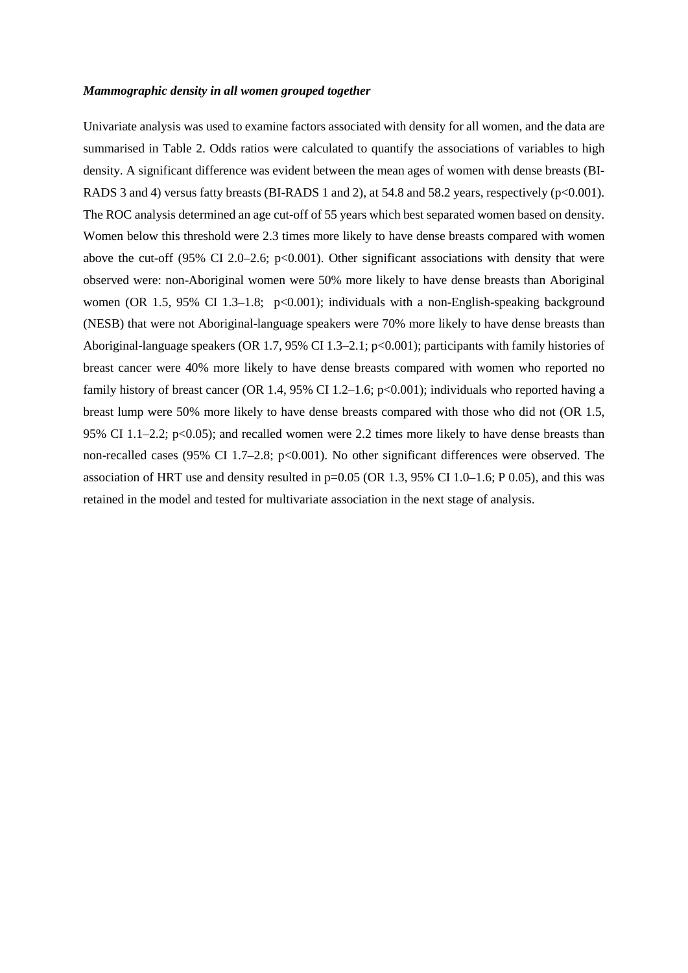#### *Mammographic density in all women grouped together*

Univariate analysis was used to examine factors associated with density for all women, and the data are summarised in Table 2. Odds ratios were calculated to quantify the associations of variables to high density. A significant difference was evident between the mean ages of women with dense breasts (BI-RADS 3 and 4) versus fatty breasts (BI-RADS 1 and 2), at 54.8 and 58.2 years, respectively (p<0.001). The ROC analysis determined an age cut-off of 55 years which best separated women based on density. Women below this threshold were 2.3 times more likely to have dense breasts compared with women above the cut-off (95% CI 2.0–2.6;  $p<0.001$ ). Other significant associations with density that were observed were: non-Aboriginal women were 50% more likely to have dense breasts than Aboriginal women (OR 1.5, 95% CI 1.3–1.8;  $p<0.001$ ); individuals with a non-English-speaking background (NESB) that were not Aboriginal-language speakers were 70% more likely to have dense breasts than Aboriginal-language speakers (OR 1.7, 95% CI 1.3–2.1; p<0.001); participants with family histories of breast cancer were 40% more likely to have dense breasts compared with women who reported no family history of breast cancer (OR 1.4, 95% CI 1.2–1.6; p<0.001); individuals who reported having a breast lump were 50% more likely to have dense breasts compared with those who did not (OR 1.5, 95% CI 1.1–2.2; p<0.05); and recalled women were 2.2 times more likely to have dense breasts than non-recalled cases (95% CI 1.7–2.8; p<0.001). No other significant differences were observed. The association of HRT use and density resulted in  $p=0.05$  (OR 1.3, 95% CI 1.0–1.6; P 0.05), and this was retained in the model and tested for multivariate association in the next stage of analysis.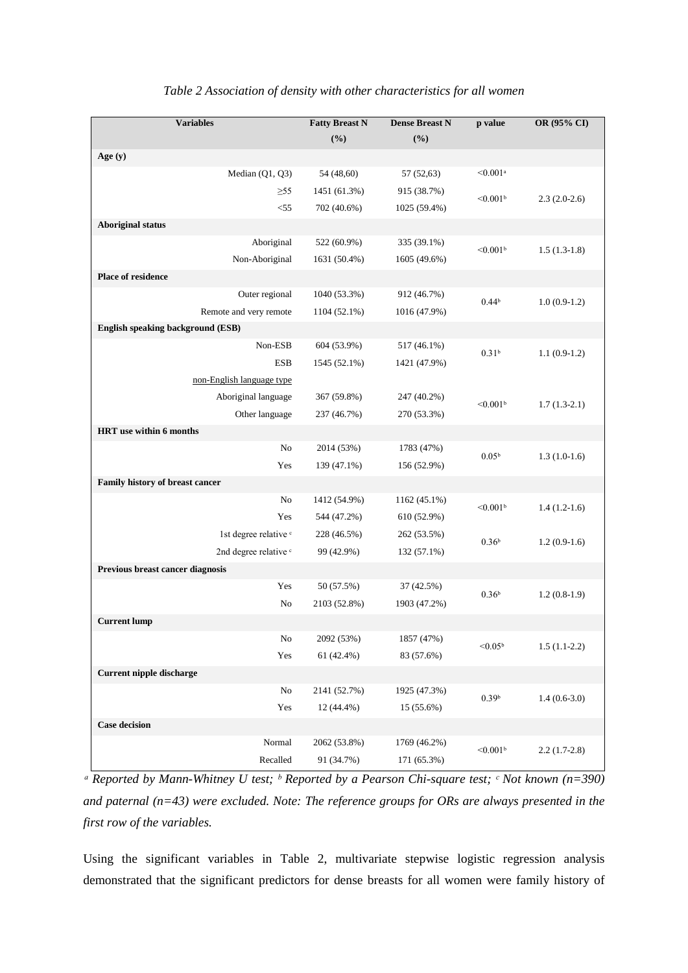| <b>Variables</b>                  | <b>Fatty Breast N</b> | <b>Dense Breast N</b> | p value                | OR (95% CI)    |  |  |
|-----------------------------------|-----------------------|-----------------------|------------------------|----------------|--|--|
|                                   | (%)                   | (%)                   |                        |                |  |  |
| Age (y)                           |                       |                       |                        |                |  |  |
| Median (Q1, Q3)                   | 54 (48,60)            | 57 (52,63)            | $< 0.001$ <sup>a</sup> |                |  |  |
| $\geq 55$                         | 1451 (61.3%)          | 915 (38.7%)           | $< 0.001$ <sup>b</sup> | $2.3(2.0-2.6)$ |  |  |
| $<$ 55                            | 702 (40.6%)           | 1025 (59.4%)          |                        |                |  |  |
| <b>Aboriginal status</b>          |                       |                       |                        |                |  |  |
| Aboriginal                        | 522 (60.9%)           | 335 (39.1%)           | < 0.001 <sup>b</sup>   | $1.5(1.3-1.8)$ |  |  |
| Non-Aboriginal                    | 1631 (50.4%)          | 1605 (49.6%)          |                        |                |  |  |
| Place of residence                |                       |                       |                        |                |  |  |
| Outer regional                    | 1040 (53.3%)          | 912 (46.7%)           | 0.44 <sup>b</sup>      |                |  |  |
| Remote and very remote            | 1104 (52.1%)          | 1016 (47.9%)          |                        | $1.0(0.9-1.2)$ |  |  |
| English speaking background (ESB) |                       |                       |                        |                |  |  |
| Non-ESB                           | 604 (53.9%)           | 517 (46.1%)           | 0.31 <sup>b</sup>      | $1.1(0.9-1.2)$ |  |  |
| <b>ESB</b>                        | 1545 (52.1%)          | 1421 (47.9%)          |                        |                |  |  |
| non-English language type         |                       |                       |                        |                |  |  |
| Aboriginal language               | 367 (59.8%)           | 247 (40.2%)           | $< 0.001$ <sup>b</sup> | $1.7(1.3-2.1)$ |  |  |
| Other language                    | 237 (46.7%)           | 270 (53.3%)           |                        |                |  |  |
| HRT use within 6 months           |                       |                       |                        |                |  |  |
| $\rm No$                          | 2014 (53%)            | 1783 (47%)            | 0.05 <sup>b</sup>      | $1.3(1.0-1.6)$ |  |  |
| Yes                               | 139 (47.1%)           | 156 (52.9%)           |                        |                |  |  |
| Family history of breast cancer   |                       |                       |                        |                |  |  |
| No                                | 1412 (54.9%)          | 1162 (45.1%)          | $< 0.001$ <sup>b</sup> | $1.4(1.2-1.6)$ |  |  |
| Yes                               | 544 (47.2%)           | 610 (52.9%)           |                        |                |  |  |
| 1st degree relative <sup>c</sup>  | 228 (46.5%)           | 262 (53.5%)           | 0.36 <sup>b</sup>      | $1.2(0.9-1.6)$ |  |  |
| 2nd degree relative <sup>c</sup>  | 99 (42.9%)            | 132 (57.1%)           |                        |                |  |  |
| Previous breast cancer diagnosis  |                       |                       |                        |                |  |  |
| Yes                               | 50 (57.5%)            | 37 (42.5%)            | 0.36 <sup>b</sup>      | $1.2(0.8-1.9)$ |  |  |
| No                                | 2103 (52.8%)          | 1903 (47.2%)          |                        |                |  |  |
| <b>Current lump</b>               |                       |                       |                        |                |  |  |
| $\rm No$                          | 2092 (53%)            | 1857 (47%)            | $< 0.05^{\rm b}$       | $1.5(1.1-2.2)$ |  |  |
| Yes                               | 61 (42.4%)            | 83 (57.6%)            |                        |                |  |  |
| <b>Current nipple discharge</b>   |                       |                       |                        |                |  |  |
| No                                | 2141 (52.7%)          | 1925 (47.3%)          | 0.39 <sup>b</sup>      | $1.4(0.6-3.0)$ |  |  |
| Yes                               | 12 (44.4%)            | 15 (55.6%)            |                        |                |  |  |
| <b>Case decision</b>              |                       |                       |                        |                |  |  |
| Normal                            | 2062 (53.8%)          | 1769 (46.2%)          | $< 0.001$ <sup>b</sup> | $2.2(1.7-2.8)$ |  |  |
| Recalled                          | 91 (34.7%)            | 171 (65.3%)           |                        |                |  |  |

## *Table 2 Association of density with other characteristics for all women*

*ᵃ Reported by Mann-Whitney U test; ᵇ Reported by a Pearson Chi-square test; ᶜ Not known (n=390) and paternal (n=43) were excluded. Note: The reference groups for ORs are always presented in the first row of the variables.*

Using the significant variables in Table 2, multivariate stepwise logistic regression analysis demonstrated that the significant predictors for dense breasts for all women were family history of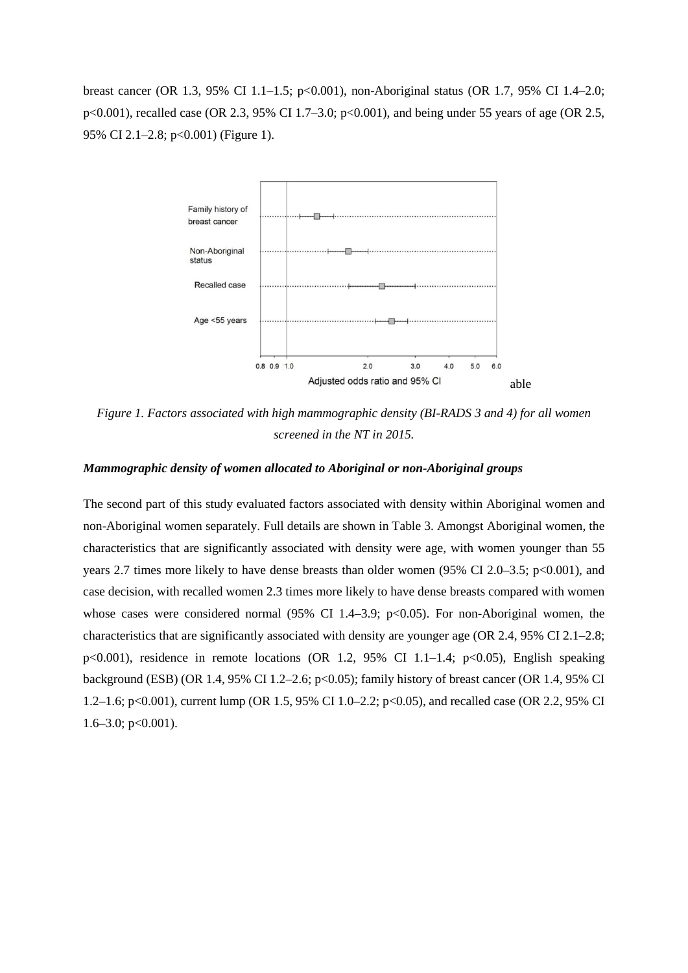breast cancer (OR 1.3, 95% CI 1.1–1.5; p<0.001), non-Aboriginal status (OR 1.7, 95% CI 1.4–2.0; p<0.001), recalled case (OR 2.3, 95% CI 1.7–3.0; p<0.001), and being under 55 years of age (OR 2.5, 95% CI 2.1–2.8; p<0.001) (Figure 1).



*Figure 1. Factors associated with high mammographic density (BI-RADS 3 and 4) for all women screened in the NT in 2015.*

## *Mammographic density of women allocated to Aboriginal or non-Aboriginal groups*

The second part of this study evaluated factors associated with density within Aboriginal women and non-Aboriginal women separately. Full details are shown in Table 3. Amongst Aboriginal women, the characteristics that are significantly associated with density were age, with women younger than 55 years 2.7 times more likely to have dense breasts than older women (95% CI 2.0–3.5; p<0.001), and case decision, with recalled women 2.3 times more likely to have dense breasts compared with women whose cases were considered normal  $(95\% \text{ CI } 1.4-3.9; \text{ p} < 0.05)$ . For non-Aboriginal women, the characteristics that are significantly associated with density are younger age (OR 2.4, 95% CI 2.1–2.8; p<0.001), residence in remote locations (OR 1.2, 95% CI 1.1–1.4; p<0.05), English speaking background (ESB) (OR 1.4, 95% CI 1.2–2.6; p<0.05); family history of breast cancer (OR 1.4, 95% CI 1.2–1.6; p<0.001), current lump (OR 1.5, 95% CI 1.0–2.2; p<0.05), and recalled case (OR 2.2, 95% CI  $1.6-3.0$ ; p $<0.001$ ).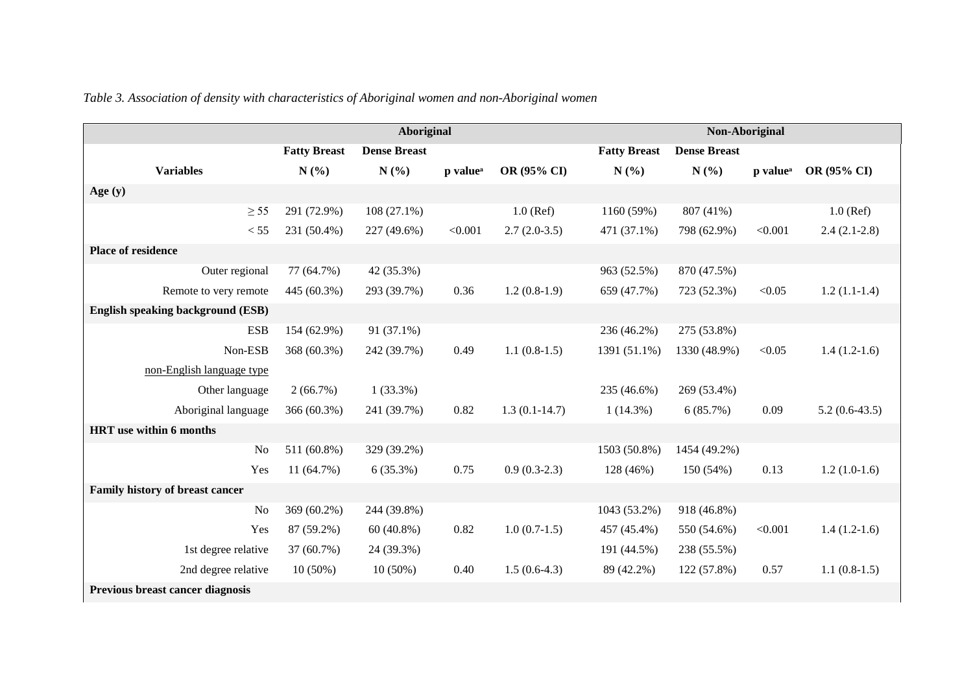|                                          | <b>Aboriginal</b>   |                     |                      |                 |                     | Non-Aboriginal      |                      |                 |  |
|------------------------------------------|---------------------|---------------------|----------------------|-----------------|---------------------|---------------------|----------------------|-----------------|--|
|                                          | <b>Fatty Breast</b> | <b>Dense Breast</b> |                      |                 | <b>Fatty Breast</b> | <b>Dense Breast</b> |                      |                 |  |
| <b>Variables</b>                         | N(%)                | N(%)                | p value <sup>a</sup> | OR (95% CI)     | N(%)                | N(%)                | p value <sup>a</sup> | OR (95% CI)     |  |
| Age $(y)$                                |                     |                     |                      |                 |                     |                     |                      |                 |  |
| $\geq$ 55                                | 291 (72.9%)         | $108(27.1\%)$       |                      | $1.0$ (Ref)     | 1160 (59%)          | 807 (41%)           |                      | $1.0$ (Ref)     |  |
| < 55                                     | 231 (50.4%)         | 227 (49.6%)         | < 0.001              | $2.7(2.0-3.5)$  | 471 (37.1%)         | 798 (62.9%)         | < 0.001              | $2.4(2.1-2.8)$  |  |
| <b>Place of residence</b>                |                     |                     |                      |                 |                     |                     |                      |                 |  |
| Outer regional                           | 77 (64.7%)          | 42 (35.3%)          |                      |                 | 963 (52.5%)         | 870 (47.5%)         |                      |                 |  |
| Remote to very remote                    | 445 (60.3%)         | 293 (39.7%)         | 0.36                 | $1.2(0.8-1.9)$  | 659 (47.7%)         | 723 (52.3%)         | < 0.05               | $1.2(1.1-1.4)$  |  |
| <b>English speaking background (ESB)</b> |                     |                     |                      |                 |                     |                     |                      |                 |  |
| <b>ESB</b>                               | 154 (62.9%)         | 91 (37.1%)          |                      |                 | 236 (46.2%)         | 275 (53.8%)         |                      |                 |  |
| Non-ESB                                  | 368 (60.3%)         | 242 (39.7%)         | 0.49                 | $1.1(0.8-1.5)$  | 1391 (51.1%)        | 1330 (48.9%)        | < 0.05               | $1.4(1.2-1.6)$  |  |
| non-English language type                |                     |                     |                      |                 |                     |                     |                      |                 |  |
| Other language                           | 2(66.7%)            | $1(33.3\%)$         |                      |                 | 235 (46.6%)         | 269 (53.4%)         |                      |                 |  |
| Aboriginal language                      | 366 (60.3%)         | 241 (39.7%)         | 0.82                 | $1.3(0.1-14.7)$ | $1(14.3\%)$         | 6(85.7%)            | 0.09                 | $5.2(0.6-43.5)$ |  |
| HRT use within 6 months                  |                     |                     |                      |                 |                     |                     |                      |                 |  |
| N <sub>o</sub>                           | 511 (60.8%)         | 329 (39.2%)         |                      |                 | 1503 (50.8%)        | 1454 (49.2%)        |                      |                 |  |
| Yes                                      | 11(64.7%)           | 6(35.3%)            | 0.75                 | $0.9(0.3-2.3)$  | 128 (46%)           | 150 (54%)           | 0.13                 | $1.2(1.0-1.6)$  |  |
| Family history of breast cancer          |                     |                     |                      |                 |                     |                     |                      |                 |  |
| N <sub>o</sub>                           | 369 (60.2%)         | 244 (39.8%)         |                      |                 | 1043 (53.2%)        | 918 (46.8%)         |                      |                 |  |
| Yes                                      | 87 (59.2%)          | $60(40.8\%)$        | 0.82                 | $1.0(0.7-1.5)$  | 457 (45.4%)         | 550 (54.6%)         | < 0.001              | $1.4(1.2-1.6)$  |  |
| 1st degree relative                      | 37 (60.7%)          | 24 (39.3%)          |                      |                 | 191 (44.5%)         | 238 (55.5%)         |                      |                 |  |
| 2nd degree relative                      | $10(50\%)$          | $10(50\%)$          | 0.40                 | $1.5(0.6-4.3)$  | 89 (42.2%)          | 122 (57.8%)         | 0.57                 | $1.1(0.8-1.5)$  |  |
| Previous breast cancer diagnosis         |                     |                     |                      |                 |                     |                     |                      |                 |  |

*Table 3. Association of density with characteristics of Aboriginal women and non-Aboriginal women*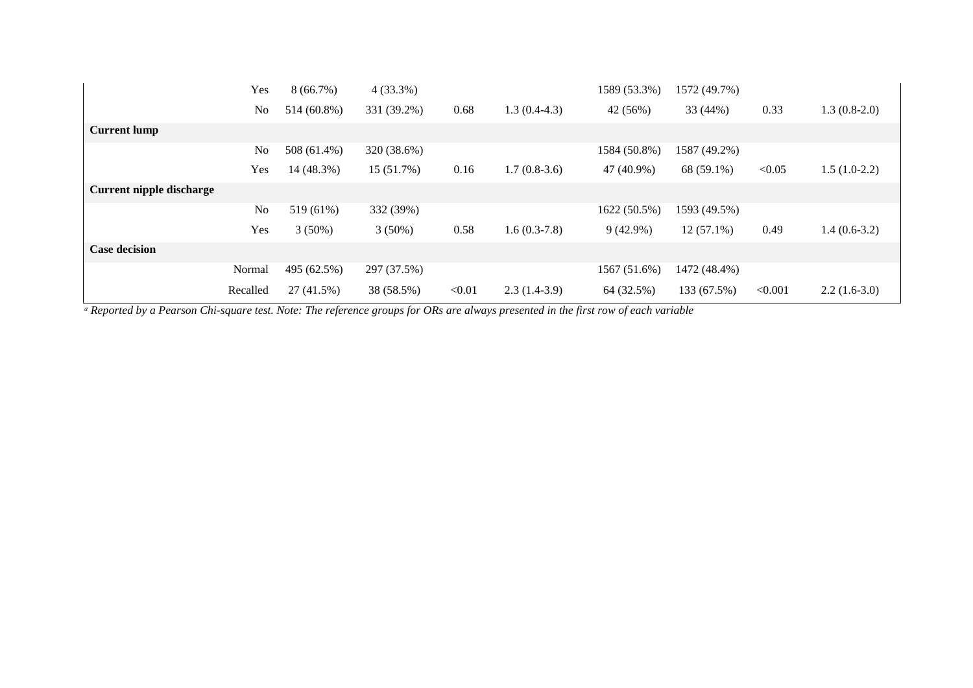|                          | Yes      | 8(66.7%)    | $4(33.3\%)$ |        |                | 1589 (53.3%) | 1572 (49.7%) |         |                |
|--------------------------|----------|-------------|-------------|--------|----------------|--------------|--------------|---------|----------------|
|                          | No       | 514 (60.8%) | 331 (39.2%) | 0.68   | $1.3(0.4-4.3)$ | 42 (56%)     | 33 (44%)     | 0.33    | $1.3(0.8-2.0)$ |
| <b>Current lump</b>      |          |             |             |        |                |              |              |         |                |
|                          | No       | 508 (61.4%) | 320 (38.6%) |        |                | 1584 (50.8%) | 1587 (49.2%) |         |                |
|                          | Yes      | 14 (48.3%)  | 15 (51.7%)  | 0.16   | $1.7(0.8-3.6)$ | 47 (40.9%)   | 68 (59.1%)   | < 0.05  | $1.5(1.0-2.2)$ |
| Current nipple discharge |          |             |             |        |                |              |              |         |                |
|                          | No       | 519 (61%)   | 332 (39%)   |        |                | 1622 (50.5%) | 1593 (49.5%) |         |                |
|                          | Yes      | $3(50\%)$   | $3(50\%)$   | 0.58   | $1.6(0.3-7.8)$ | $9(42.9\%)$  | $12(57.1\%)$ | 0.49    | $1.4(0.6-3.2)$ |
| <b>Case decision</b>     |          |             |             |        |                |              |              |         |                |
|                          | Normal   | 495 (62.5%) | 297 (37.5%) |        |                | 1567 (51.6%) | 1472 (48.4%) |         |                |
|                          | Recalled | 27 (41.5%)  | 38 (58.5%)  | < 0.01 | $2.3(1.4-3.9)$ | 64 (32.5%)   | 133 (67.5%)  | < 0.001 | $2.2(1.6-3.0)$ |

<sup>*a</sup>* Reported by a Pearson Chi-square test. Note: The reference groups for ORs are always presented in the first row of each variable</sup>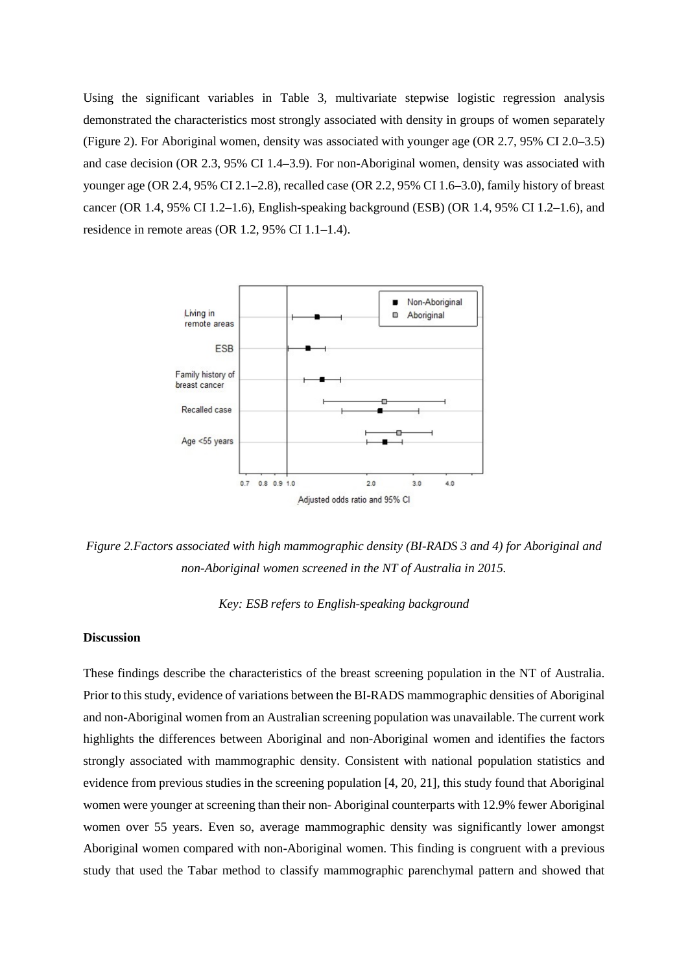Using the significant variables in Table 3, multivariate stepwise logistic regression analysis demonstrated the characteristics most strongly associated with density in groups of women separately (Figure 2). For Aboriginal women, density was associated with younger age (OR 2.7, 95% CI 2.0–3.5) and case decision (OR 2.3, 95% CI 1.4–3.9). For non-Aboriginal women, density was associated with younger age (OR 2.4, 95% CI 2.1–2.8), recalled case (OR 2.2, 95% CI 1.6–3.0), family history of breast cancer (OR 1.4, 95% CI 1.2–1.6), English-speaking background (ESB) (OR 1.4, 95% CI 1.2–1.6), and residence in remote areas (OR 1.2, 95% CI 1.1–1.4).



*Figure 2.Factors associated with high mammographic density (BI-RADS 3 and 4) for Aboriginal and non-Aboriginal women screened in the NT of Australia in 2015.* 

*Key: ESB refers to English-speaking background*

## **Discussion**

These findings describe the characteristics of the breast screening population in the NT of Australia. Prior to this study, evidence of variations between the BI-RADS mammographic densities of Aboriginal and non-Aboriginal women from an Australian screening population was unavailable. The current work highlights the differences between Aboriginal and non-Aboriginal women and identifies the factors strongly associated with mammographic density. Consistent with national population statistics and evidence from previous studies in the screening population [4, 20, 21], this study found that Aboriginal women were younger at screening than their non- Aboriginal counterparts with 12.9% fewer Aboriginal women over 55 years. Even so, average mammographic density was significantly lower amongst Aboriginal women compared with non-Aboriginal women. This finding is congruent with a previous study that used the Tabar method to classify mammographic parenchymal pattern and showed that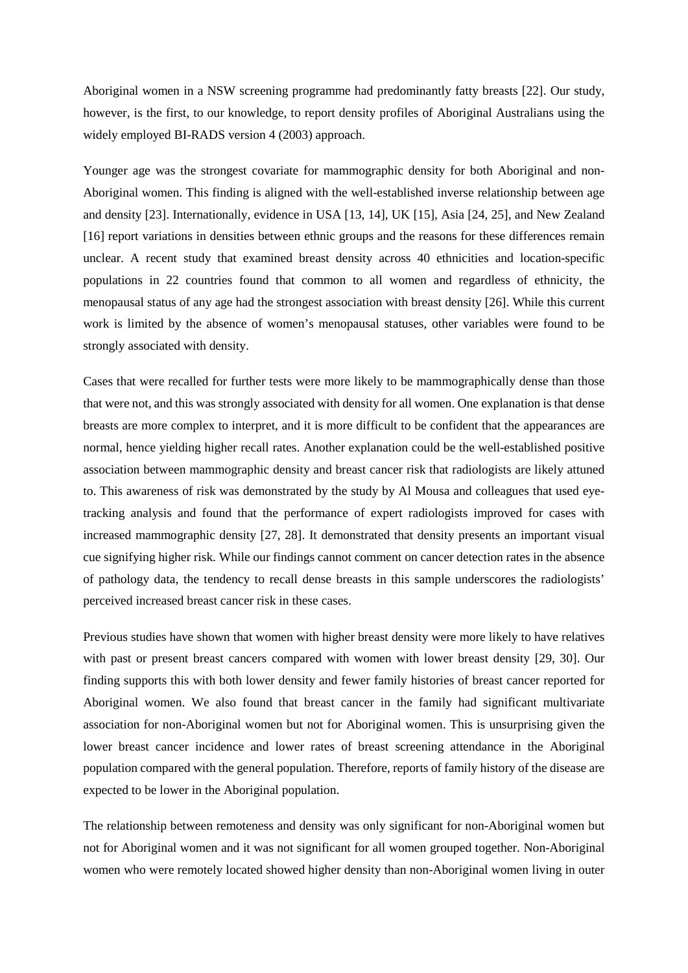Aboriginal women in a NSW screening programme had predominantly fatty breasts [22]. Our study, however, is the first, to our knowledge, to report density profiles of Aboriginal Australians using the widely employed BI-RADS version 4 (2003) approach.

Younger age was the strongest covariate for mammographic density for both Aboriginal and non-Aboriginal women. This finding is aligned with the well-established inverse relationship between age and density [23]. Internationally, evidence in USA [13, 14], UK [15], Asia [24, 25], and New Zealand [16] report variations in densities between ethnic groups and the reasons for these differences remain unclear. A recent study that examined breast density across 40 ethnicities and location-specific populations in 22 countries found that common to all women and regardless of ethnicity, the menopausal status of any age had the strongest association with breast density [26]. While this current work is limited by the absence of women's menopausal statuses, other variables were found to be strongly associated with density.

Cases that were recalled for further tests were more likely to be mammographically dense than those that were not, and this was strongly associated with density for all women. One explanation is that dense breasts are more complex to interpret, and it is more difficult to be confident that the appearances are normal, hence yielding higher recall rates. Another explanation could be the well-established positive association between mammographic density and breast cancer risk that radiologists are likely attuned to. This awareness of risk was demonstrated by the study by Al Mousa and colleagues that used eyetracking analysis and found that the performance of expert radiologists improved for cases with increased mammographic density [27, 28]. It demonstrated that density presents an important visual cue signifying higher risk. While our findings cannot comment on cancer detection rates in the absence of pathology data, the tendency to recall dense breasts in this sample underscores the radiologists' perceived increased breast cancer risk in these cases.

Previous studies have shown that women with higher breast density were more likely to have relatives with past or present breast cancers compared with women with lower breast density [29, 30]. Our finding supports this with both lower density and fewer family histories of breast cancer reported for Aboriginal women. We also found that breast cancer in the family had significant multivariate association for non-Aboriginal women but not for Aboriginal women. This is unsurprising given the lower breast cancer incidence and lower rates of breast screening attendance in the Aboriginal population compared with the general population. Therefore, reports of family history of the disease are expected to be lower in the Aboriginal population.

The relationship between remoteness and density was only significant for non-Aboriginal women but not for Aboriginal women and it was not significant for all women grouped together. Non-Aboriginal women who were remotely located showed higher density than non-Aboriginal women living in outer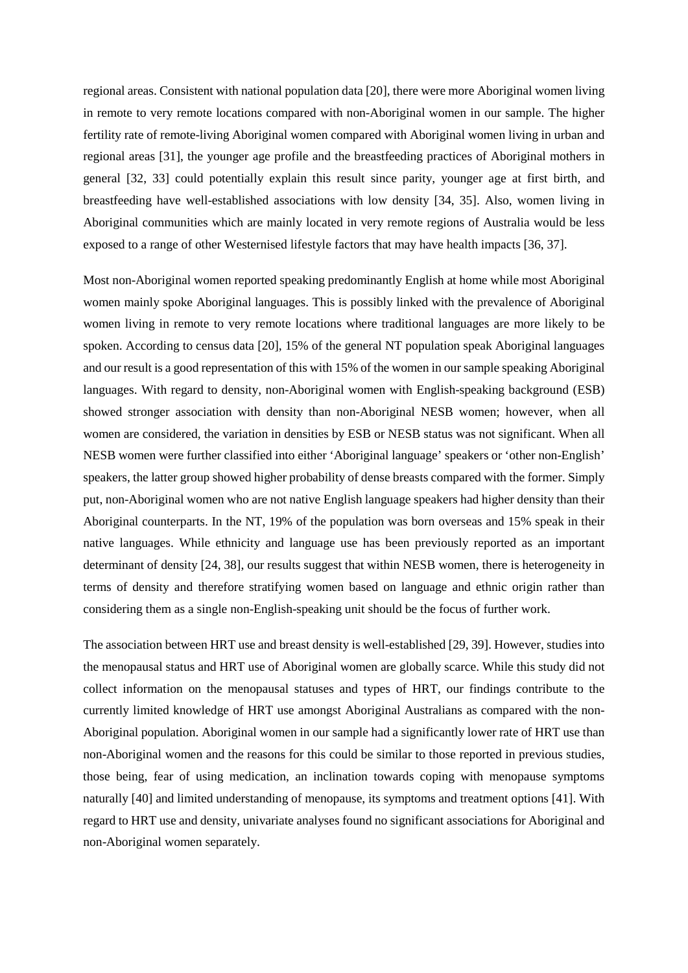regional areas. Consistent with national population data [20], there were more Aboriginal women living in remote to very remote locations compared with non-Aboriginal women in our sample. The higher fertility rate of remote-living Aboriginal women compared with Aboriginal women living in urban and regional areas [31], the younger age profile and the breastfeeding practices of Aboriginal mothers in general [32, 33] could potentially explain this result since parity, younger age at first birth, and breastfeeding have well-established associations with low density [34, 35]. Also, women living in Aboriginal communities which are mainly located in very remote regions of Australia would be less exposed to a range of other Westernised lifestyle factors that may have health impacts [36, 37].

Most non-Aboriginal women reported speaking predominantly English at home while most Aboriginal women mainly spoke Aboriginal languages. This is possibly linked with the prevalence of Aboriginal women living in remote to very remote locations where traditional languages are more likely to be spoken. According to census data [20], 15% of the general NT population speak Aboriginal languages and our result is a good representation of this with 15% of the women in our sample speaking Aboriginal languages. With regard to density, non-Aboriginal women with English-speaking background (ESB) showed stronger association with density than non-Aboriginal NESB women; however, when all women are considered, the variation in densities by ESB or NESB status was not significant. When all NESB women were further classified into either 'Aboriginal language' speakers or 'other non-English' speakers, the latter group showed higher probability of dense breasts compared with the former. Simply put, non-Aboriginal women who are not native English language speakers had higher density than their Aboriginal counterparts. In the NT, 19% of the population was born overseas and 15% speak in their native languages. While ethnicity and language use has been previously reported as an important determinant of density [24, 38], our results suggest that within NESB women, there is heterogeneity in terms of density and therefore stratifying women based on language and ethnic origin rather than considering them as a single non-English-speaking unit should be the focus of further work.

The association between HRT use and breast density is well-established [29, 39]. However, studies into the menopausal status and HRT use of Aboriginal women are globally scarce. While this study did not collect information on the menopausal statuses and types of HRT, our findings contribute to the currently limited knowledge of HRT use amongst Aboriginal Australians as compared with the non-Aboriginal population. Aboriginal women in our sample had a significantly lower rate of HRT use than non-Aboriginal women and the reasons for this could be similar to those reported in previous studies, those being, fear of using medication, an inclination towards coping with menopause symptoms naturally [40] and limited understanding of menopause, its symptoms and treatment options [41]. With regard to HRT use and density, univariate analyses found no significant associations for Aboriginal and non-Aboriginal women separately.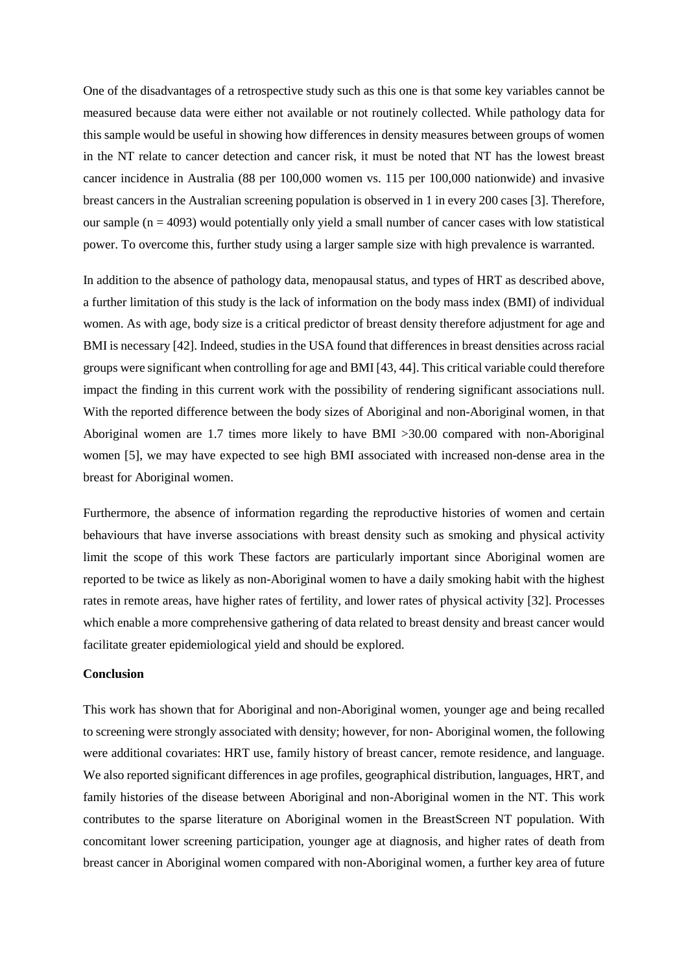One of the disadvantages of a retrospective study such as this one is that some key variables cannot be measured because data were either not available or not routinely collected. While pathology data for this sample would be useful in showing how differences in density measures between groups of women in the NT relate to cancer detection and cancer risk, it must be noted that NT has the lowest breast cancer incidence in Australia (88 per 100,000 women vs. 115 per 100,000 nationwide) and invasive breast cancers in the Australian screening population is observed in 1 in every 200 cases [3]. Therefore, our sample  $(n = 4093)$  would potentially only yield a small number of cancer cases with low statistical power. To overcome this, further study using a larger sample size with high prevalence is warranted.

In addition to the absence of pathology data, menopausal status, and types of HRT as described above, a further limitation of this study is the lack of information on the body mass index (BMI) of individual women. As with age, body size is a critical predictor of breast density therefore adjustment for age and BMI is necessary [42]. Indeed, studies in the USA found that differences in breast densities across racial groups were significant when controlling for age and BMI [43, 44]. This critical variable could therefore impact the finding in this current work with the possibility of rendering significant associations null. With the reported difference between the body sizes of Aboriginal and non-Aboriginal women, in that Aboriginal women are 1.7 times more likely to have BMI >30.00 compared with non-Aboriginal women [5], we may have expected to see high BMI associated with increased non-dense area in the breast for Aboriginal women.

Furthermore, the absence of information regarding the reproductive histories of women and certain behaviours that have inverse associations with breast density such as smoking and physical activity limit the scope of this work These factors are particularly important since Aboriginal women are reported to be twice as likely as non-Aboriginal women to have a daily smoking habit with the highest rates in remote areas, have higher rates of fertility, and lower rates of physical activity [32]. Processes which enable a more comprehensive gathering of data related to breast density and breast cancer would facilitate greater epidemiological yield and should be explored.

## **Conclusion**

This work has shown that for Aboriginal and non-Aboriginal women, younger age and being recalled to screening were strongly associated with density; however, for non- Aboriginal women, the following were additional covariates: HRT use, family history of breast cancer, remote residence, and language. We also reported significant differences in age profiles, geographical distribution, languages, HRT, and family histories of the disease between Aboriginal and non-Aboriginal women in the NT. This work contributes to the sparse literature on Aboriginal women in the BreastScreen NT population. With concomitant lower screening participation, younger age at diagnosis, and higher rates of death from breast cancer in Aboriginal women compared with non-Aboriginal women, a further key area of future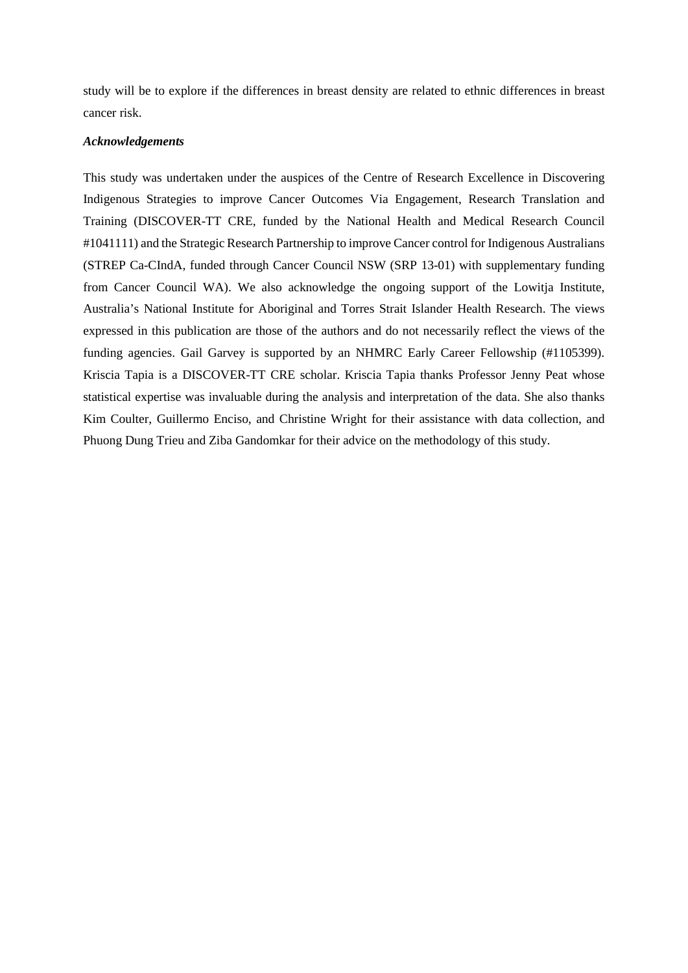study will be to explore if the differences in breast density are related to ethnic differences in breast cancer risk.

### *Acknowledgements*

This study was undertaken under the auspices of the Centre of Research Excellence in Discovering Indigenous Strategies to improve Cancer Outcomes Via Engagement, Research Translation and Training (DISCOVER-TT CRE, funded by the National Health and Medical Research Council #1041111) and the Strategic Research Partnership to improve Cancer control for Indigenous Australians (STREP Ca-CIndA, funded through Cancer Council NSW (SRP 13-01) with supplementary funding from Cancer Council WA). We also acknowledge the ongoing support of the Lowitja Institute, Australia's National Institute for Aboriginal and Torres Strait Islander Health Research. The views expressed in this publication are those of the authors and do not necessarily reflect the views of the funding agencies. Gail Garvey is supported by an NHMRC Early Career Fellowship (#1105399). Kriscia Tapia is a DISCOVER-TT CRE scholar. Kriscia Tapia thanks Professor Jenny Peat whose statistical expertise was invaluable during the analysis and interpretation of the data. She also thanks Kim Coulter, Guillermo Enciso, and Christine Wright for their assistance with data collection, and Phuong Dung Trieu and Ziba Gandomkar for their advice on the methodology of this study.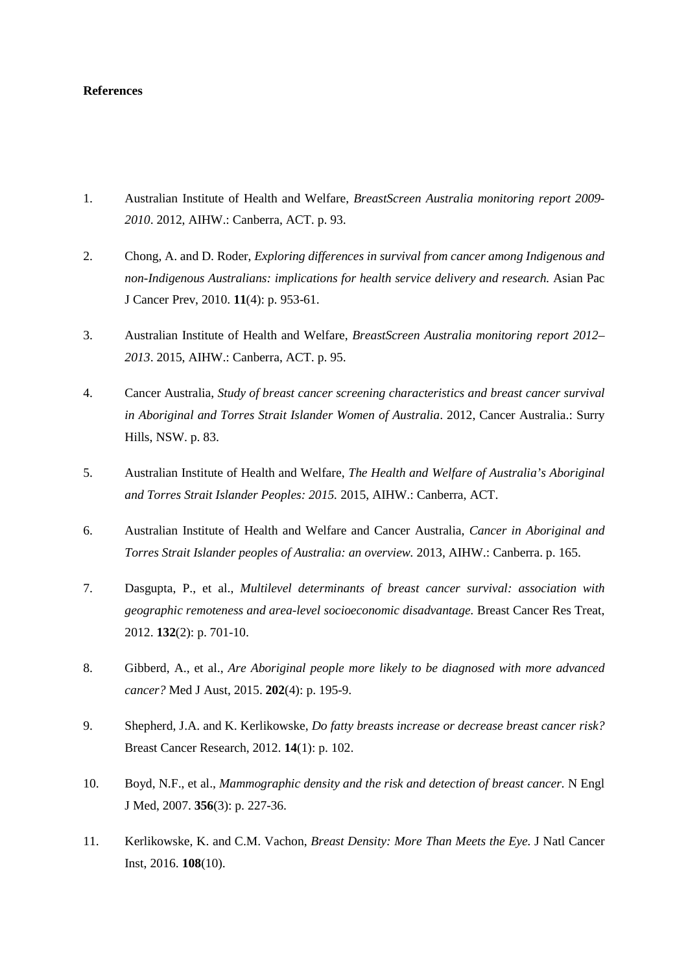### **References**

- 1. Australian Institute of Health and Welfare, *BreastScreen Australia monitoring report 2009- 2010*. 2012, AIHW.: Canberra, ACT. p. 93.
- 2. Chong, A. and D. Roder, *Exploring differences in survival from cancer among Indigenous and non-Indigenous Australians: implications for health service delivery and research.* Asian Pac J Cancer Prev, 2010. **11**(4): p. 953-61.
- 3. Australian Institute of Health and Welfare, *BreastScreen Australia monitoring report 2012– 2013*. 2015, AIHW.: Canberra, ACT. p. 95.
- 4. Cancer Australia, *Study of breast cancer screening characteristics and breast cancer survival in Aboriginal and Torres Strait Islander Women of Australia*. 2012, Cancer Australia.: Surry Hills, NSW. p. 83.
- 5. Australian Institute of Health and Welfare, *The Health and Welfare of Australia's Aboriginal and Torres Strait Islander Peoples: 2015.* 2015, AIHW.: Canberra, ACT.
- 6. Australian Institute of Health and Welfare and Cancer Australia, *Cancer in Aboriginal and Torres Strait Islander peoples of Australia: an overview.* 2013, AIHW.: Canberra. p. 165.
- 7. Dasgupta, P., et al., *Multilevel determinants of breast cancer survival: association with geographic remoteness and area-level socioeconomic disadvantage.* Breast Cancer Res Treat, 2012. **132**(2): p. 701-10.
- 8. Gibberd, A., et al., *Are Aboriginal people more likely to be diagnosed with more advanced cancer?* Med J Aust, 2015. **202**(4): p. 195-9.
- 9. Shepherd, J.A. and K. Kerlikowske, *Do fatty breasts increase or decrease breast cancer risk?* Breast Cancer Research, 2012. **14**(1): p. 102.
- 10. Boyd, N.F., et al., *Mammographic density and the risk and detection of breast cancer.* N Engl J Med, 2007. **356**(3): p. 227-36.
- 11. Kerlikowske, K. and C.M. Vachon, *Breast Density: More Than Meets the Eye.* J Natl Cancer Inst, 2016. **108**(10).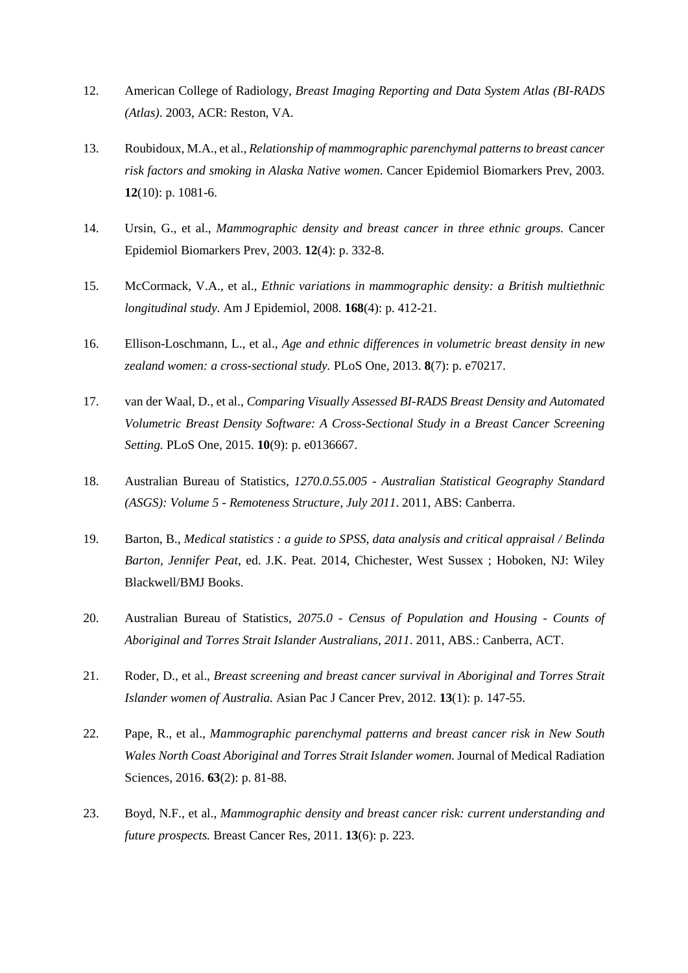- 12. American College of Radiology, *Breast Imaging Reporting and Data System Atlas (BI-RADS (Atlas)*. 2003, ACR: Reston, VA.
- 13. Roubidoux, M.A., et al., *Relationship of mammographic parenchymal patterns to breast cancer risk factors and smoking in Alaska Native women.* Cancer Epidemiol Biomarkers Prev, 2003. **12**(10): p. 1081-6.
- 14. Ursin, G., et al., *Mammographic density and breast cancer in three ethnic groups.* Cancer Epidemiol Biomarkers Prev, 2003. **12**(4): p. 332-8.
- 15. McCormack, V.A., et al., *Ethnic variations in mammographic density: a British multiethnic longitudinal study.* Am J Epidemiol, 2008. **168**(4): p. 412-21.
- 16. Ellison-Loschmann, L., et al., *Age and ethnic differences in volumetric breast density in new zealand women: a cross-sectional study.* PLoS One, 2013. **8**(7): p. e70217.
- 17. van der Waal, D., et al., *Comparing Visually Assessed BI-RADS Breast Density and Automated Volumetric Breast Density Software: A Cross-Sectional Study in a Breast Cancer Screening Setting.* PLoS One, 2015. **10**(9): p. e0136667.
- 18. Australian Bureau of Statistics, *1270.0.55.005 - Australian Statistical Geography Standard (ASGS): Volume 5 - Remoteness Structure, July 2011*. 2011, ABS: Canberra.
- 19. Barton, B., *Medical statistics : a guide to SPSS, data analysis and critical appraisal / Belinda Barton, Jennifer Peat*, ed. J.K. Peat. 2014, Chichester, West Sussex ; Hoboken, NJ: Wiley Blackwell/BMJ Books.
- 20. Australian Bureau of Statistics, *2075.0 - Census of Population and Housing - Counts of Aboriginal and Torres Strait Islander Australians, 2011*. 2011, ABS.: Canberra, ACT.
- 21. Roder, D., et al., *Breast screening and breast cancer survival in Aboriginal and Torres Strait Islander women of Australia.* Asian Pac J Cancer Prev, 2012. **13**(1): p. 147-55.
- 22. Pape, R., et al., *Mammographic parenchymal patterns and breast cancer risk in New South Wales North Coast Aboriginal and Torres Strait Islander women.* Journal of Medical Radiation Sciences, 2016. **63**(2): p. 81-88.
- 23. Boyd, N.F., et al., *Mammographic density and breast cancer risk: current understanding and future prospects.* Breast Cancer Res, 2011. **13**(6): p. 223.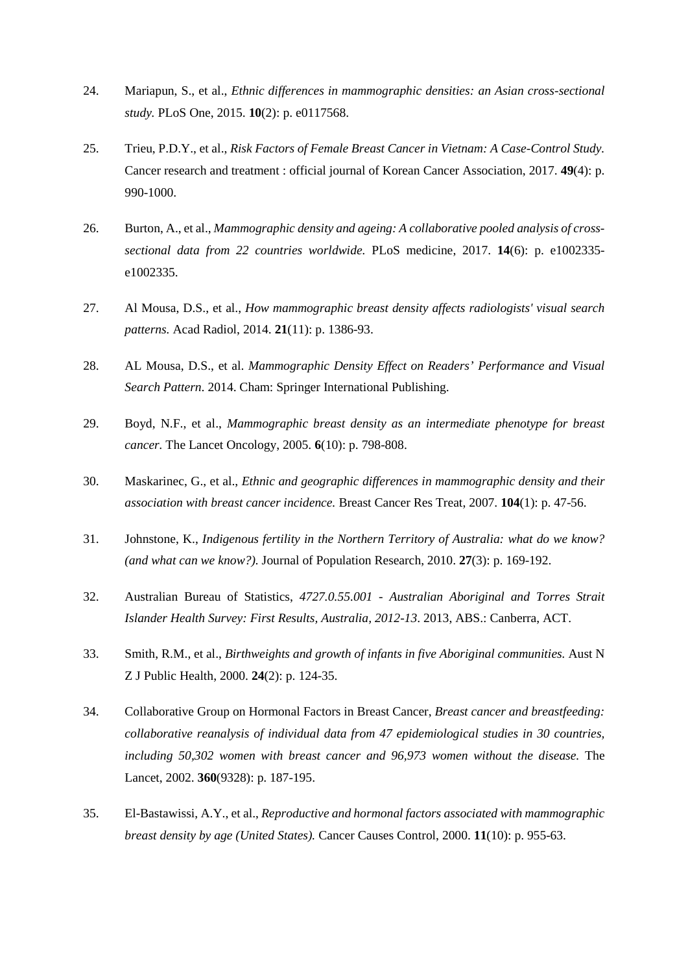- 24. Mariapun, S., et al., *Ethnic differences in mammographic densities: an Asian cross-sectional study.* PLoS One, 2015. **10**(2): p. e0117568.
- 25. Trieu, P.D.Y., et al., *Risk Factors of Female Breast Cancer in Vietnam: A Case-Control Study.* Cancer research and treatment : official journal of Korean Cancer Association, 2017. **49**(4): p. 990-1000.
- 26. Burton, A., et al., *Mammographic density and ageing: A collaborative pooled analysis of crosssectional data from 22 countries worldwide.* PLoS medicine, 2017. **14**(6): p. e1002335 e1002335.
- 27. Al Mousa, D.S., et al., *How mammographic breast density affects radiologists' visual search patterns.* Acad Radiol, 2014. **21**(11): p. 1386-93.
- 28. AL Mousa, D.S., et al. *Mammographic Density Effect on Readers' Performance and Visual Search Pattern*. 2014. Cham: Springer International Publishing.
- 29. Boyd, N.F., et al., *Mammographic breast density as an intermediate phenotype for breast cancer.* The Lancet Oncology, 2005. **6**(10): p. 798-808.
- 30. Maskarinec, G., et al., *Ethnic and geographic differences in mammographic density and their association with breast cancer incidence.* Breast Cancer Res Treat, 2007. **104**(1): p. 47-56.
- 31. Johnstone, K., *Indigenous fertility in the Northern Territory of Australia: what do we know? (and what can we know?).* Journal of Population Research, 2010. **27**(3): p. 169-192.
- 32. Australian Bureau of Statistics, *4727.0.55.001 - Australian Aboriginal and Torres Strait Islander Health Survey: First Results, Australia, 2012-13*. 2013, ABS.: Canberra, ACT.
- 33. Smith, R.M., et al., *Birthweights and growth of infants in five Aboriginal communities.* Aust N Z J Public Health, 2000. **24**(2): p. 124-35.
- 34. Collaborative Group on Hormonal Factors in Breast Cancer, *Breast cancer and breastfeeding: collaborative reanalysis of individual data from 47 epidemiological studies in 30 countries, including 50,302 women with breast cancer and 96,973 women without the disease.* The Lancet, 2002. **360**(9328): p. 187-195.
- 35. El-Bastawissi, A.Y., et al., *Reproductive and hormonal factors associated with mammographic breast density by age (United States).* Cancer Causes Control, 2000. **11**(10): p. 955-63.